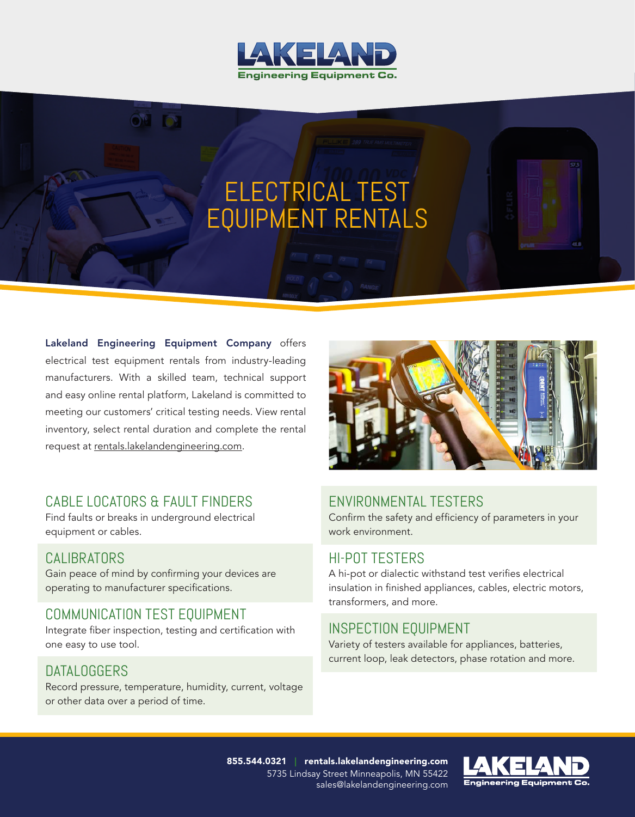

# ELECTRICAL TEST EQUIPMENT RENTALS

Lakeland Engineering Equipment Company offers electrical test equipment rentals from industry-leading manufacturers. With a skilled team, technical support and easy online rental platform, Lakeland is committed to meeting our customers' critical testing needs. View rental inventory, select rental duration and complete the rental request at rentals.lakelandengineering.com.

 $\odot$  by  $\odot$  and  $\odot$  and  $\odot$  and  $\odot$  and  $\odot$  and  $\odot$  and  $\odot$  and  $\odot$  and  $\odot$  and  $\odot$  and  $\odot$  and  $\odot$  and  $\odot$  and  $\odot$  and  $\odot$  and  $\odot$  and  $\odot$  and  $\odot$  and  $\odot$  and  $\odot$  and  $\odot$  and  $\$ 

# CABLE LOCATORS & FAULT FINDERS

Find faults or breaks in underground electrical equipment or cables.

## CALIBRATORS

Gain peace of mind by confirming your devices are operating to manufacturer specifications.

# COMMUNICATION TEST EQUIPMENT

Integrate fiber inspection, testing and certification with one easy to use tool.

## DATALOGGERS

Record pressure, temperature, humidity, current, voltage or other data over a period of time.



# ENVIRONMENTAL TESTERS

Confirm the safety and efficiency of parameters in your work environment.

## HI-POT TESTERS

A hi-pot or dialectic withstand test verifies electrical insulation in finished appliances, cables, electric motors, transformers, and more.

## INSPECTION EQUIPMENT

Variety of testers available for appliances, batteries, current loop, leak detectors, phase rotation and more.

855.544.0321 | rentals.lakelandengineering.com 5735 Lindsay Street Minneapolis, MN 55422 sales@lakelandengineering.com